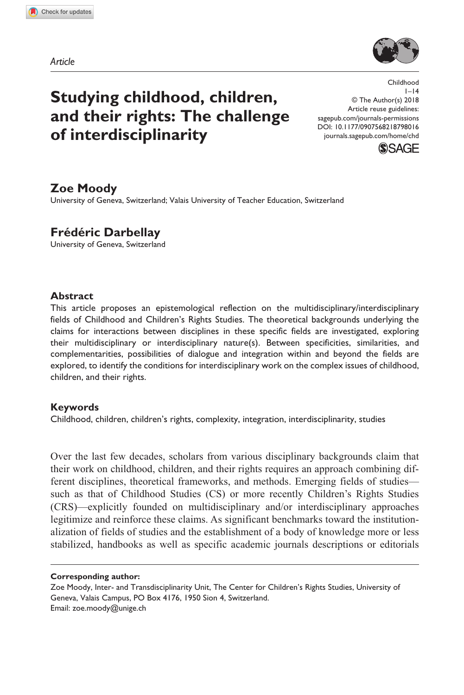**7980[16](http://crossmark.crossref.org/dialog/?doi=10.1177%2F0907568218798016&domain=pdf&date_stamp=2018-09-06)** CHD0010.1177/0907568218798016Childhood**Moody and Darbellay**

*Article*



# **Studying childhood, children, and their rights: The challenge of interdisciplinarity**

DOI: 10.1177/0907568218798016 Childhood  $1 - 14$ © The Author(s) 2018 Article reuse guidelines: [sagepub.com/journals-permissions](https://uk.sagepub.com/en-gb/journals-permissions) [journals.sagepub.com/home/chd](https://journals.sagepub.com/home/chd)



## **Zoe Moody**

University of Geneva, Switzerland; Valais University of Teacher Education, Switzerland

## **Frédéric Darbellay**

University of Geneva, Switzerland

## **Abstract**

This article proposes an epistemological reflection on the multidisciplinary/interdisciplinary fields of Childhood and Children's Rights Studies. The theoretical backgrounds underlying the claims for interactions between disciplines in these specific fields are investigated, exploring their multidisciplinary or interdisciplinary nature(s). Between specificities, similarities, and complementarities, possibilities of dialogue and integration within and beyond the fields are explored, to identify the conditions for interdisciplinary work on the complex issues of childhood, children, and their rights.

## **Keywords**

Childhood, children, children's rights, complexity, integration, interdisciplinarity, studies

Over the last few decades, scholars from various disciplinary backgrounds claim that their work on childhood, children, and their rights requires an approach combining different disciplines, theoretical frameworks, and methods. Emerging fields of studies such as that of Childhood Studies (CS) or more recently Children's Rights Studies (CRS)—explicitly founded on multidisciplinary and/or interdisciplinary approaches legitimize and reinforce these claims. As significant benchmarks toward the institutionalization of fields of studies and the establishment of a body of knowledge more or less stabilized, handbooks as well as specific academic journals descriptions or editorials

#### **Corresponding author:**

Zoe Moody, Inter- and Transdisciplinarity Unit, The Center for Children's Rights Studies, University of Geneva, Valais Campus, PO Box 4176, 1950 Sion 4, Switzerland. Email: [zoe.moody@unige.ch](mailto:zoe.moody@unige.ch)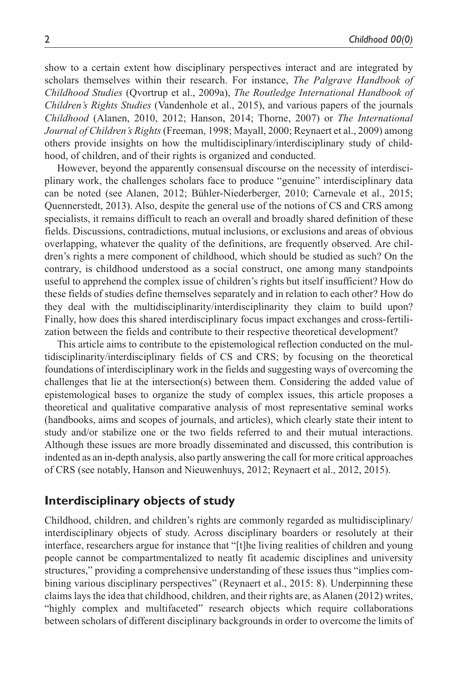show to a certain extent how disciplinary perspectives interact and are integrated by scholars themselves within their research. For instance, *The Palgrave Handbook of Childhood Studies* (Qvortrup et al., 2009a), *The Routledge International Handbook of Children's Rights Studies* (Vandenhole et al., 2015), and various papers of the journals *Childhood* (Alanen, 2010, 2012; Hanson, 2014; Thorne, 2007) or *The International Journal of Children's Rights* (Freeman, 1998; Mayall, 2000; Reynaert et al., 2009) among others provide insights on how the multidisciplinary/interdisciplinary study of childhood, of children, and of their rights is organized and conducted.

However, beyond the apparently consensual discourse on the necessity of interdisciplinary work, the challenges scholars face to produce "genuine" interdisciplinary data can be noted (see Alanen, 2012; Bühler-Niederberger, 2010; Carnevale et al., 2015; Quennerstedt, 2013). Also, despite the general use of the notions of CS and CRS among specialists, it remains difficult to reach an overall and broadly shared definition of these fields. Discussions, contradictions, mutual inclusions, or exclusions and areas of obvious overlapping, whatever the quality of the definitions, are frequently observed. Are children's rights a mere component of childhood, which should be studied as such? On the contrary, is childhood understood as a social construct, one among many standpoints useful to apprehend the complex issue of children's rights but itself insufficient? How do these fields of studies define themselves separately and in relation to each other? How do they deal with the multidisciplinarity/interdisciplinarity they claim to build upon? Finally, how does this shared interdisciplinary focus impact exchanges and cross-fertilization between the fields and contribute to their respective theoretical development?

This article aims to contribute to the epistemological reflection conducted on the multidisciplinarity/interdisciplinary fields of CS and CRS; by focusing on the theoretical foundations of interdisciplinary work in the fields and suggesting ways of overcoming the challenges that lie at the intersection(s) between them. Considering the added value of epistemological bases to organize the study of complex issues, this article proposes a theoretical and qualitative comparative analysis of most representative seminal works (handbooks, aims and scopes of journals, and articles), which clearly state their intent to study and/or stabilize one or the two fields referred to and their mutual interactions. Although these issues are more broadly disseminated and discussed, this contribution is indented as an in-depth analysis, also partly answering the call for more critical approaches of CRS (see notably, Hanson and Nieuwenhuys, 2012; Reynaert et al., 2012, 2015).

## **Interdisciplinary objects of study**

Childhood, children, and children's rights are commonly regarded as multidisciplinary/ interdisciplinary objects of study. Across disciplinary boarders or resolutely at their interface, researchers argue for instance that "[t]he living realities of children and young people cannot be compartmentalized to neatly fit academic disciplines and university structures," providing a comprehensive understanding of these issues thus "implies combining various disciplinary perspectives" (Reynaert et al., 2015: 8). Underpinning these claims lays the idea that childhood, children, and their rights are, as Alanen (2012) writes, "highly complex and multifaceted" research objects which require collaborations between scholars of different disciplinary backgrounds in order to overcome the limits of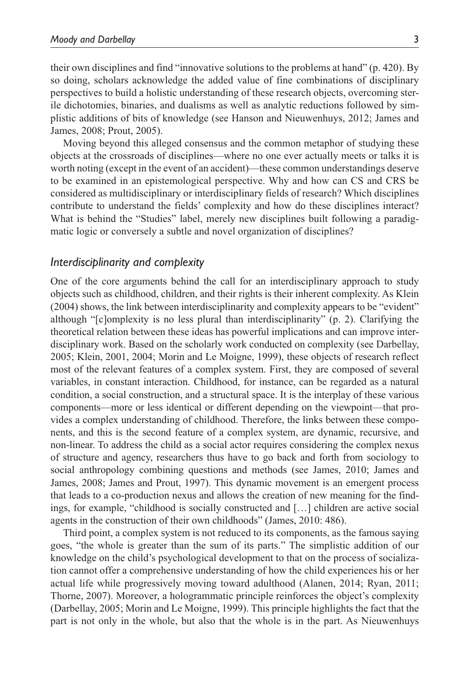their own disciplines and find "innovative solutions to the problems at hand" (p. 420). By so doing, scholars acknowledge the added value of fine combinations of disciplinary perspectives to build a holistic understanding of these research objects, overcoming sterile dichotomies, binaries, and dualisms as well as analytic reductions followed by simplistic additions of bits of knowledge (see Hanson and Nieuwenhuys, 2012; James and James, 2008; Prout, 2005).

Moving beyond this alleged consensus and the common metaphor of studying these objects at the crossroads of disciplines—where no one ever actually meets or talks it is worth noting (except in the event of an accident)—these common understandings deserve to be examined in an epistemological perspective. Why and how can CS and CRS be considered as multidisciplinary or interdisciplinary fields of research? Which disciplines contribute to understand the fields' complexity and how do these disciplines interact? What is behind the "Studies" label, merely new disciplines built following a paradigmatic logic or conversely a subtle and novel organization of disciplines?

#### *Interdisciplinarity and complexity*

One of the core arguments behind the call for an interdisciplinary approach to study objects such as childhood, children, and their rights is their inherent complexity. As Klein (2004) shows, the link between interdisciplinarity and complexity appears to be "evident" although "[c]omplexity is no less plural than interdisciplinarity" (p. 2). Clarifying the theoretical relation between these ideas has powerful implications and can improve interdisciplinary work. Based on the scholarly work conducted on complexity (see Darbellay, 2005; Klein, 2001, 2004; Morin and Le Moigne, 1999), these objects of research reflect most of the relevant features of a complex system. First, they are composed of several variables, in constant interaction. Childhood, for instance, can be regarded as a natural condition, a social construction, and a structural space. It is the interplay of these various components—more or less identical or different depending on the viewpoint—that provides a complex understanding of childhood. Therefore, the links between these components, and this is the second feature of a complex system, are dynamic, recursive, and non-linear. To address the child as a social actor requires considering the complex nexus of structure and agency, researchers thus have to go back and forth from sociology to social anthropology combining questions and methods (see James, 2010; James and James, 2008; James and Prout, 1997). This dynamic movement is an emergent process that leads to a co-production nexus and allows the creation of new meaning for the findings, for example, "childhood is socially constructed and […] children are active social agents in the construction of their own childhoods" (James, 2010: 486).

Third point, a complex system is not reduced to its components, as the famous saying goes, "the whole is greater than the sum of its parts." The simplistic addition of our knowledge on the child's psychological development to that on the process of socialization cannot offer a comprehensive understanding of how the child experiences his or her actual life while progressively moving toward adulthood (Alanen, 2014; Ryan, 2011; Thorne, 2007). Moreover, a hologrammatic principle reinforces the object's complexity (Darbellay, 2005; Morin and Le Moigne, 1999). This principle highlights the fact that the part is not only in the whole, but also that the whole is in the part. As Nieuwenhuys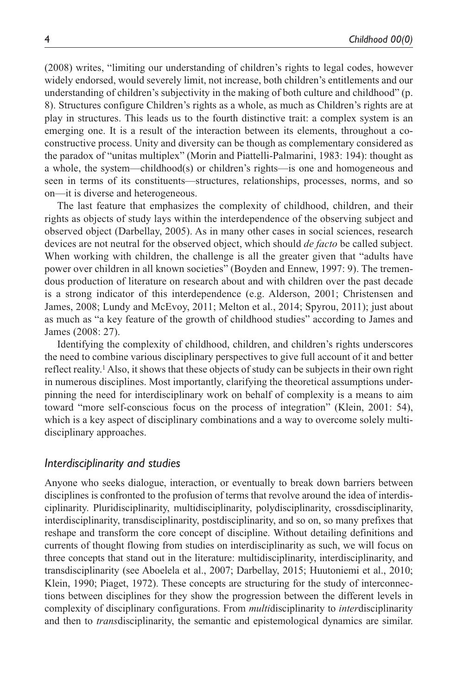(2008) writes, "limiting our understanding of children's rights to legal codes, however widely endorsed, would severely limit, not increase, both children's entitlements and our understanding of children's subjectivity in the making of both culture and childhood" (p. 8). Structures configure Children's rights as a whole, as much as Children's rights are at play in structures. This leads us to the fourth distinctive trait: a complex system is an emerging one. It is a result of the interaction between its elements, throughout a coconstructive process. Unity and diversity can be though as complementary considered as the paradox of "unitas multiplex" (Morin and Piattelli-Palmarini, 1983: 194): thought as a whole, the system—childhood(s) or children's rights—is one and homogeneous and seen in terms of its constituents—structures, relationships, processes, norms, and so on—it is diverse and heterogeneous.

The last feature that emphasizes the complexity of childhood, children, and their rights as objects of study lays within the interdependence of the observing subject and observed object (Darbellay, 2005). As in many other cases in social sciences, research devices are not neutral for the observed object, which should *de facto* be called subject. When working with children, the challenge is all the greater given that "adults have power over children in all known societies" (Boyden and Ennew, 1997: 9). The tremendous production of literature on research about and with children over the past decade is a strong indicator of this interdependence (e.g. Alderson, 2001; Christensen and James, 2008; Lundy and McEvoy, 2011; Melton et al., 2014; Spyrou, 2011); just about as much as "a key feature of the growth of childhood studies" according to James and James (2008: 27).

Identifying the complexity of childhood, children, and children's rights underscores the need to combine various disciplinary perspectives to give full account of it and better reflect reality.1 Also, it shows that these objects of study can be subjects in their own right in numerous disciplines. Most importantly, clarifying the theoretical assumptions underpinning the need for interdisciplinary work on behalf of complexity is a means to aim toward "more self-conscious focus on the process of integration" (Klein, 2001: 54), which is a key aspect of disciplinary combinations and a way to overcome solely multidisciplinary approaches.

## *Interdisciplinarity and studies*

Anyone who seeks dialogue, interaction, or eventually to break down barriers between disciplines is confronted to the profusion of terms that revolve around the idea of interdisciplinarity. Pluridisciplinarity, multidisciplinarity, polydisciplinarity, crossdisciplinarity, interdisciplinarity, transdisciplinarity, postdisciplinarity, and so on, so many prefixes that reshape and transform the core concept of discipline. Without detailing definitions and currents of thought flowing from studies on interdisciplinarity as such, we will focus on three concepts that stand out in the literature: multidisciplinarity, interdisciplinarity, and transdisciplinarity (see Aboelela et al., 2007; Darbellay, 2015; Huutoniemi et al., 2010; Klein, 1990; Piaget, 1972). These concepts are structuring for the study of interconnections between disciplines for they show the progression between the different levels in complexity of disciplinary configurations. From *multi*disciplinarity to *inter*disciplinarity and then to *trans*disciplinarity, the semantic and epistemological dynamics are similar.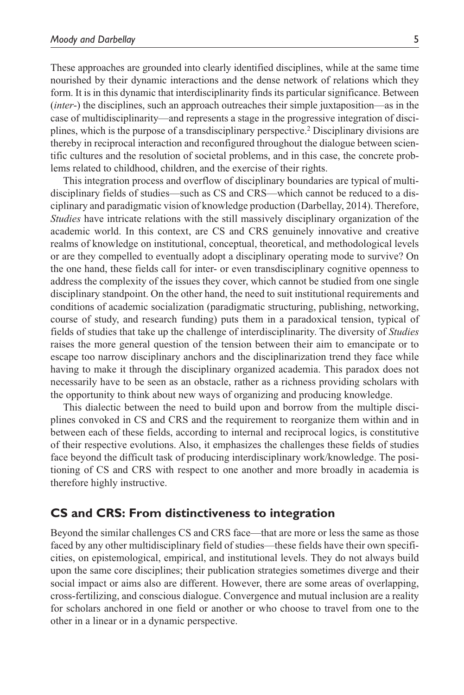These approaches are grounded into clearly identified disciplines, while at the same time nourished by their dynamic interactions and the dense network of relations which they form. It is in this dynamic that interdisciplinarity finds its particular significance. Between (*inter*-) the disciplines, such an approach outreaches their simple juxtaposition—as in the case of multidisciplinarity—and represents a stage in the progressive integration of disciplines, which is the purpose of a transdisciplinary perspective.2 Disciplinary divisions are thereby in reciprocal interaction and reconfigured throughout the dialogue between scientific cultures and the resolution of societal problems, and in this case, the concrete problems related to childhood, children, and the exercise of their rights.

This integration process and overflow of disciplinary boundaries are typical of multidisciplinary fields of studies—such as CS and CRS—which cannot be reduced to a disciplinary and paradigmatic vision of knowledge production (Darbellay, 2014). Therefore, *Studies* have intricate relations with the still massively disciplinary organization of the academic world. In this context, are CS and CRS genuinely innovative and creative realms of knowledge on institutional, conceptual, theoretical, and methodological levels or are they compelled to eventually adopt a disciplinary operating mode to survive? On the one hand, these fields call for inter- or even transdisciplinary cognitive openness to address the complexity of the issues they cover, which cannot be studied from one single disciplinary standpoint. On the other hand, the need to suit institutional requirements and conditions of academic socialization (paradigmatic structuring, publishing, networking, course of study, and research funding) puts them in a paradoxical tension, typical of fields of studies that take up the challenge of interdisciplinarity. The diversity of *Studies* raises the more general question of the tension between their aim to emancipate or to escape too narrow disciplinary anchors and the disciplinarization trend they face while having to make it through the disciplinary organized academia. This paradox does not necessarily have to be seen as an obstacle, rather as a richness providing scholars with the opportunity to think about new ways of organizing and producing knowledge.

This dialectic between the need to build upon and borrow from the multiple disciplines convoked in CS and CRS and the requirement to reorganize them within and in between each of these fields, according to internal and reciprocal logics, is constitutive of their respective evolutions. Also, it emphasizes the challenges these fields of studies face beyond the difficult task of producing interdisciplinary work/knowledge. The positioning of CS and CRS with respect to one another and more broadly in academia is therefore highly instructive.

## **CS and CRS: From distinctiveness to integration**

Beyond the similar challenges CS and CRS face—that are more or less the same as those faced by any other multidisciplinary field of studies—these fields have their own specificities, on epistemological, empirical, and institutional levels. They do not always build upon the same core disciplines; their publication strategies sometimes diverge and their social impact or aims also are different. However, there are some areas of overlapping, cross-fertilizing, and conscious dialogue. Convergence and mutual inclusion are a reality for scholars anchored in one field or another or who choose to travel from one to the other in a linear or in a dynamic perspective.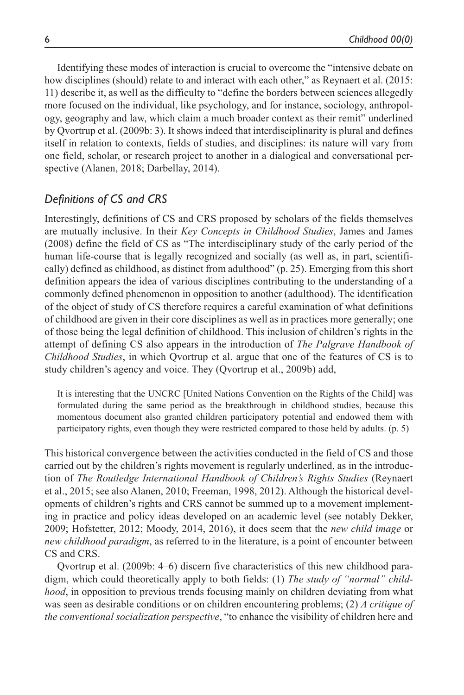Identifying these modes of interaction is crucial to overcome the "intensive debate on how disciplines (should) relate to and interact with each other," as Reynaert et al. (2015: 11) describe it, as well as the difficulty to "define the borders between sciences allegedly more focused on the individual, like psychology, and for instance, sociology, anthropology, geography and law, which claim a much broader context as their remit" underlined by Qvortrup et al. (2009b: 3). It shows indeed that interdisciplinarity is plural and defines itself in relation to contexts, fields of studies, and disciplines: its nature will vary from one field, scholar, or research project to another in a dialogical and conversational perspective (Alanen, 2018; Darbellay, 2014).

## *Definitions of CS and CRS*

Interestingly, definitions of CS and CRS proposed by scholars of the fields themselves are mutually inclusive. In their *Key Concepts in Childhood Studies*, James and James (2008) define the field of CS as "The interdisciplinary study of the early period of the human life-course that is legally recognized and socially (as well as, in part, scientifically) defined as childhood, as distinct from adulthood" (p. 25). Emerging from this short definition appears the idea of various disciplines contributing to the understanding of a commonly defined phenomenon in opposition to another (adulthood). The identification of the object of study of CS therefore requires a careful examination of what definitions of childhood are given in their core disciplines as well as in practices more generally; one of those being the legal definition of childhood. This inclusion of children's rights in the attempt of defining CS also appears in the introduction of *The Palgrave Handbook of Childhood Studies*, in which Qvortrup et al. argue that one of the features of CS is to study children's agency and voice. They (Qvortrup et al., 2009b) add,

It is interesting that the UNCRC [United Nations Convention on the Rights of the Child] was formulated during the same period as the breakthrough in childhood studies, because this momentous document also granted children participatory potential and endowed them with participatory rights, even though they were restricted compared to those held by adults. (p. 5)

This historical convergence between the activities conducted in the field of CS and those carried out by the children's rights movement is regularly underlined, as in the introduction of *The Routledge International Handbook of Children's Rights Studies* (Reynaert et al., 2015; see also Alanen, 2010; Freeman, 1998, 2012). Although the historical developments of children's rights and CRS cannot be summed up to a movement implementing in practice and policy ideas developed on an academic level (see notably Dekker, 2009; Hofstetter, 2012; Moody, 2014, 2016), it does seem that the *new child image* or *new childhood paradigm*, as referred to in the literature, is a point of encounter between CS and CRS.

Qvortrup et al. (2009b: 4–6) discern five characteristics of this new childhood paradigm, which could theoretically apply to both fields: (1) *The study of "normal" childhood*, in opposition to previous trends focusing mainly on children deviating from what was seen as desirable conditions or on children encountering problems; (2) *A critique of the conventional socialization perspective*, "to enhance the visibility of children here and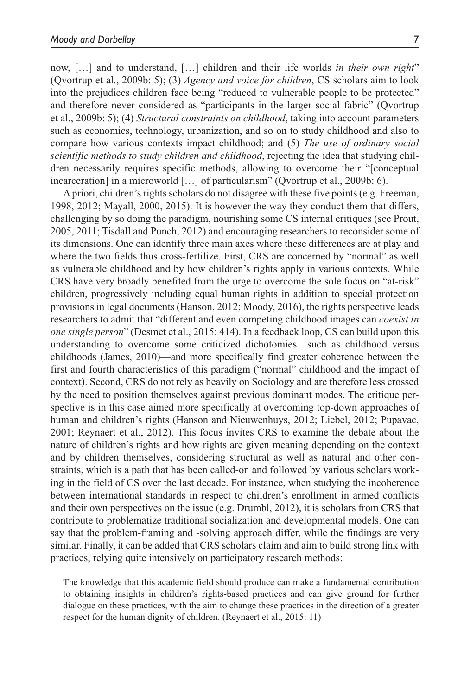now, […] and to understand, […] children and their life worlds *in their own right*" (Qvortrup et al., 2009b: 5); (3) *Agency and voice for children*, CS scholars aim to look into the prejudices children face being "reduced to vulnerable people to be protected" and therefore never considered as "participants in the larger social fabric" (Qvortrup et al., 2009b: 5); (4) *Structural constraints on childhood*, taking into account parameters such as economics, technology, urbanization, and so on to study childhood and also to compare how various contexts impact childhood; and (5) *The use of ordinary social scientific methods to study children and childhood*, rejecting the idea that studying children necessarily requires specific methods, allowing to overcome their "[conceptual incarceration] in a microworld […] of particularism" (Qvortrup et al., 2009b: 6).

A priori, children's rights scholars do not disagree with these five points (e.g. Freeman, 1998, 2012; Mayall, 2000, 2015). It is however the way they conduct them that differs, challenging by so doing the paradigm, nourishing some CS internal critiques (see Prout, 2005, 2011; Tisdall and Punch, 2012) and encouraging researchers to reconsider some of its dimensions. One can identify three main axes where these differences are at play and where the two fields thus cross-fertilize. First, CRS are concerned by "normal" as well as vulnerable childhood and by how children's rights apply in various contexts. While CRS have very broadly benefited from the urge to overcome the sole focus on "at-risk" children, progressively including equal human rights in addition to special protection provisions in legal documents (Hanson, 2012; Moody, 2016), the rights perspective leads researchers to admit that "different and even competing childhood images can *coexist in one single person*" (Desmet et al., 2015: 414). In a feedback loop, CS can build upon this understanding to overcome some criticized dichotomies—such as childhood versus childhoods (James, 2010)—and more specifically find greater coherence between the first and fourth characteristics of this paradigm ("normal" childhood and the impact of context). Second, CRS do not rely as heavily on Sociology and are therefore less crossed by the need to position themselves against previous dominant modes. The critique perspective is in this case aimed more specifically at overcoming top-down approaches of human and children's rights (Hanson and Nieuwenhuys, 2012; Liebel, 2012; Pupavac, 2001; Reynaert et al., 2012). This focus invites CRS to examine the debate about the nature of children's rights and how rights are given meaning depending on the context and by children themselves, considering structural as well as natural and other constraints, which is a path that has been called-on and followed by various scholars working in the field of CS over the last decade. For instance, when studying the incoherence between international standards in respect to children's enrollment in armed conflicts and their own perspectives on the issue (e.g. Drumbl, 2012), it is scholars from CRS that contribute to problematize traditional socialization and developmental models. One can say that the problem-framing and -solving approach differ, while the findings are very similar. Finally, it can be added that CRS scholars claim and aim to build strong link with practices, relying quite intensively on participatory research methods:

The knowledge that this academic field should produce can make a fundamental contribution to obtaining insights in children's rights-based practices and can give ground for further dialogue on these practices, with the aim to change these practices in the direction of a greater respect for the human dignity of children. (Reynaert et al., 2015: 11)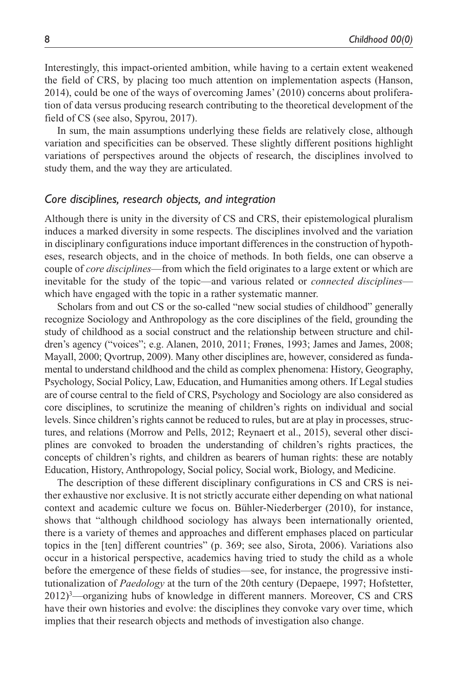Interestingly, this impact-oriented ambition, while having to a certain extent weakened the field of CRS, by placing too much attention on implementation aspects (Hanson, 2014), could be one of the ways of overcoming James' (2010) concerns about proliferation of data versus producing research contributing to the theoretical development of the field of CS (see also, Spyrou, 2017).

In sum, the main assumptions underlying these fields are relatively close, although variation and specificities can be observed. These slightly different positions highlight variations of perspectives around the objects of research, the disciplines involved to study them, and the way they are articulated.

#### *Core disciplines, research objects, and integration*

Although there is unity in the diversity of CS and CRS, their epistemological pluralism induces a marked diversity in some respects. The disciplines involved and the variation in disciplinary configurations induce important differences in the construction of hypotheses, research objects, and in the choice of methods. In both fields, one can observe a couple of *core disciplines*—from which the field originates to a large extent or which are inevitable for the study of the topic—and various related or *connected disciplines* which have engaged with the topic in a rather systematic manner.

Scholars from and out CS or the so-called "new social studies of childhood" generally recognize Sociology and Anthropology as the core disciplines of the field, grounding the study of childhood as a social construct and the relationship between structure and children's agency ("voices"; e.g. Alanen, 2010, 2011; Frønes, 1993; James and James, 2008; Mayall, 2000; Qvortrup, 2009). Many other disciplines are, however, considered as fundamental to understand childhood and the child as complex phenomena: History, Geography, Psychology, Social Policy, Law, Education, and Humanities among others. If Legal studies are of course central to the field of CRS, Psychology and Sociology are also considered as core disciplines, to scrutinize the meaning of children's rights on individual and social levels. Since children's rights cannot be reduced to rules, but are at play in processes, structures, and relations (Morrow and Pells, 2012; Reynaert et al., 2015), several other disciplines are convoked to broaden the understanding of children's rights practices, the concepts of children's rights, and children as bearers of human rights: these are notably Education, History, Anthropology, Social policy, Social work, Biology, and Medicine.

The description of these different disciplinary configurations in CS and CRS is neither exhaustive nor exclusive. It is not strictly accurate either depending on what national context and academic culture we focus on. Bühler-Niederberger (2010), for instance, shows that "although childhood sociology has always been internationally oriented, there is a variety of themes and approaches and different emphases placed on particular topics in the [ten] different countries" (p. 369; see also, Sirota, 2006). Variations also occur in a historical perspective, academics having tried to study the child as a whole before the emergence of these fields of studies—see, for instance, the progressive institutionalization of *Paedology* at the turn of the 20th century (Depaepe, 1997; Hofstetter, 2012)3—organizing hubs of knowledge in different manners. Moreover, CS and CRS have their own histories and evolve: the disciplines they convoke vary over time, which implies that their research objects and methods of investigation also change.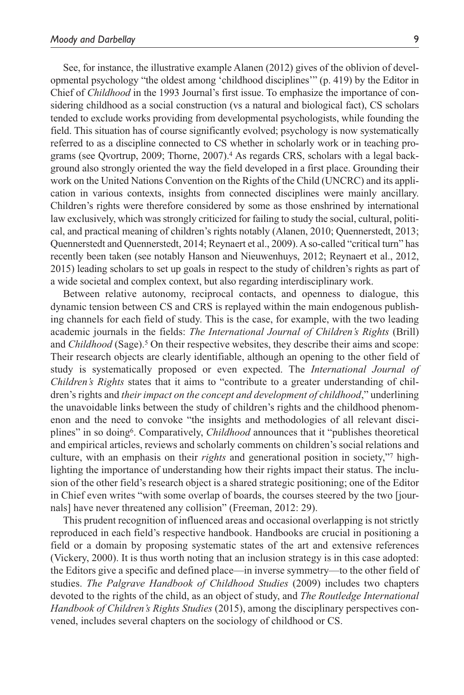See, for instance, the illustrative example Alanen (2012) gives of the oblivion of developmental psychology "the oldest among 'childhood disciplines'" (p. 419) by the Editor in Chief of *Childhood* in the 1993 Journal's first issue. To emphasize the importance of considering childhood as a social construction (vs a natural and biological fact), CS scholars tended to exclude works providing from developmental psychologists, while founding the field. This situation has of course significantly evolved; psychology is now systematically referred to as a discipline connected to CS whether in scholarly work or in teaching programs (see Qvortrup, 2009; Thorne, 2007).4 As regards CRS, scholars with a legal background also strongly oriented the way the field developed in a first place. Grounding their work on the United Nations Convention on the Rights of the Child (UNCRC) and its application in various contexts, insights from connected disciplines were mainly ancillary. Children's rights were therefore considered by some as those enshrined by international law exclusively, which was strongly criticized for failing to study the social, cultural, political, and practical meaning of children's rights notably (Alanen, 2010; Quennerstedt, 2013; Quennerstedt and Quennerstedt, 2014; Reynaert et al., 2009). A so-called "critical turn" has recently been taken (see notably Hanson and Nieuwenhuys, 2012; Reynaert et al., 2012, 2015) leading scholars to set up goals in respect to the study of children's rights as part of a wide societal and complex context, but also regarding interdisciplinary work.

Between relative autonomy, reciprocal contacts, and openness to dialogue, this dynamic tension between CS and CRS is replayed within the main endogenous publishing channels for each field of study. This is the case, for example, with the two leading academic journals in the fields: *The International Journal of Children's Rights* (Brill) and *Childhood* (Sage).<sup>5</sup> On their respective websites, they describe their aims and scope: Their research objects are clearly identifiable, although an opening to the other field of study is systematically proposed or even expected. The *International Journal of Children's Rights* states that it aims to "contribute to a greater understanding of children's rights and *their impact on the concept and development of childhood*," underlining the unavoidable links between the study of children's rights and the childhood phenomenon and the need to convoke "the insights and methodologies of all relevant disciplines" in so doing6. Comparatively, *Childhood* announces that it "publishes theoretical and empirical articles, reviews and scholarly comments on children's social relations and culture, with an emphasis on their *rights* and generational position in society,"7 highlighting the importance of understanding how their rights impact their status. The inclusion of the other field's research object is a shared strategic positioning; one of the Editor in Chief even writes "with some overlap of boards, the courses steered by the two [journals] have never threatened any collision" (Freeman, 2012: 29).

This prudent recognition of influenced areas and occasional overlapping is not strictly reproduced in each field's respective handbook. Handbooks are crucial in positioning a field or a domain by proposing systematic states of the art and extensive references (Vickery, 2000). It is thus worth noting that an inclusion strategy is in this case adopted: the Editors give a specific and defined place—in inverse symmetry—to the other field of studies. *The Palgrave Handbook of Childhood Studies* (2009) includes two chapters devoted to the rights of the child, as an object of study, and *The Routledge International Handbook of Children's Rights Studies* (2015), among the disciplinary perspectives convened, includes several chapters on the sociology of childhood or CS.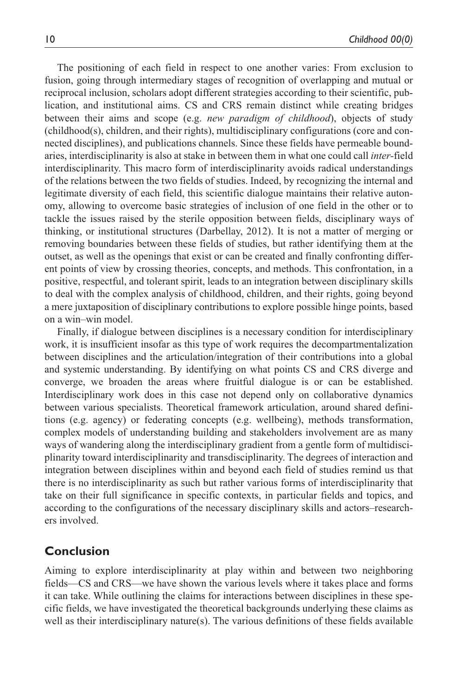The positioning of each field in respect to one another varies: From exclusion to fusion, going through intermediary stages of recognition of overlapping and mutual or reciprocal inclusion, scholars adopt different strategies according to their scientific, publication, and institutional aims. CS and CRS remain distinct while creating bridges between their aims and scope (e.g. *new paradigm of childhood*), objects of study (childhood(s), children, and their rights), multidisciplinary configurations (core and connected disciplines), and publications channels. Since these fields have permeable boundaries, interdisciplinarity is also at stake in between them in what one could call *inter-*field interdisciplinarity. This macro form of interdisciplinarity avoids radical understandings of the relations between the two fields of studies. Indeed, by recognizing the internal and legitimate diversity of each field, this scientific dialogue maintains their relative autonomy, allowing to overcome basic strategies of inclusion of one field in the other or to tackle the issues raised by the sterile opposition between fields, disciplinary ways of thinking, or institutional structures (Darbellay, 2012). It is not a matter of merging or removing boundaries between these fields of studies, but rather identifying them at the outset, as well as the openings that exist or can be created and finally confronting different points of view by crossing theories, concepts, and methods. This confrontation, in a positive, respectful, and tolerant spirit, leads to an integration between disciplinary skills to deal with the complex analysis of childhood, children, and their rights, going beyond a mere juxtaposition of disciplinary contributions to explore possible hinge points, based on a win–win model.

Finally, if dialogue between disciplines is a necessary condition for interdisciplinary work, it is insufficient insofar as this type of work requires the decompartmentalization between disciplines and the articulation/integration of their contributions into a global and systemic understanding. By identifying on what points CS and CRS diverge and converge, we broaden the areas where fruitful dialogue is or can be established. Interdisciplinary work does in this case not depend only on collaborative dynamics between various specialists. Theoretical framework articulation, around shared definitions (e.g. agency) or federating concepts (e.g. wellbeing), methods transformation, complex models of understanding building and stakeholders involvement are as many ways of wandering along the interdisciplinary gradient from a gentle form of multidisciplinarity toward interdisciplinarity and transdisciplinarity. The degrees of interaction and integration between disciplines within and beyond each field of studies remind us that there is no interdisciplinarity as such but rather various forms of interdisciplinarity that take on their full significance in specific contexts, in particular fields and topics, and according to the configurations of the necessary disciplinary skills and actors–researchers involved.

## **Conclusion**

Aiming to explore interdisciplinarity at play within and between two neighboring fields—CS and CRS—we have shown the various levels where it takes place and forms it can take. While outlining the claims for interactions between disciplines in these specific fields, we have investigated the theoretical backgrounds underlying these claims as well as their interdisciplinary nature(s). The various definitions of these fields available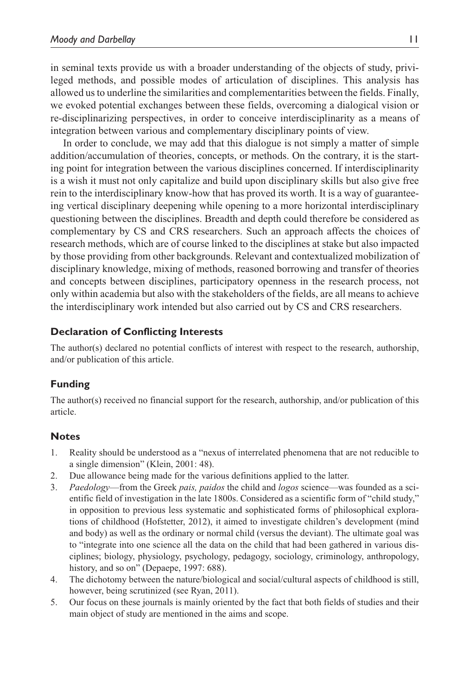in seminal texts provide us with a broader understanding of the objects of study, privileged methods, and possible modes of articulation of disciplines. This analysis has allowed us to underline the similarities and complementarities between the fields. Finally, we evoked potential exchanges between these fields, overcoming a dialogical vision or re-disciplinarizing perspectives, in order to conceive interdisciplinarity as a means of integration between various and complementary disciplinary points of view.

In order to conclude, we may add that this dialogue is not simply a matter of simple addition/accumulation of theories, concepts, or methods. On the contrary, it is the starting point for integration between the various disciplines concerned. If interdisciplinarity is a wish it must not only capitalize and build upon disciplinary skills but also give free rein to the interdisciplinary know-how that has proved its worth. It is a way of guaranteeing vertical disciplinary deepening while opening to a more horizontal interdisciplinary questioning between the disciplines. Breadth and depth could therefore be considered as complementary by CS and CRS researchers. Such an approach affects the choices of research methods, which are of course linked to the disciplines at stake but also impacted by those providing from other backgrounds. Relevant and contextualized mobilization of disciplinary knowledge, mixing of methods, reasoned borrowing and transfer of theories and concepts between disciplines, participatory openness in the research process, not only within academia but also with the stakeholders of the fields, are all means to achieve the interdisciplinary work intended but also carried out by CS and CRS researchers.

## **Declaration of Conflicting Interests**

The author(s) declared no potential conflicts of interest with respect to the research, authorship, and/or publication of this article.

## **Funding**

The author(s) received no financial support for the research, authorship, and/or publication of this article.

## **Notes**

- 1. Reality should be understood as a "nexus of interrelated phenomena that are not reducible to a single dimension" (Klein, 2001: 48).
- 2. Due allowance being made for the various definitions applied to the latter.
- 3. *Paedology*—from the Greek *pais, paidos* the child and *logos* science—was founded as a scientific field of investigation in the late 1800s. Considered as a scientific form of "child study," in opposition to previous less systematic and sophisticated forms of philosophical explorations of childhood (Hofstetter, 2012), it aimed to investigate children's development (mind and body) as well as the ordinary or normal child (versus the deviant). The ultimate goal was to "integrate into one science all the data on the child that had been gathered in various disciplines; biology, physiology, psychology, pedagogy, sociology, criminology, anthropology, history, and so on" (Depaepe, 1997: 688).
- 4. The dichotomy between the nature/biological and social/cultural aspects of childhood is still, however, being scrutinized (see Ryan, 2011).
- 5. Our focus on these journals is mainly oriented by the fact that both fields of studies and their main object of study are mentioned in the aims and scope.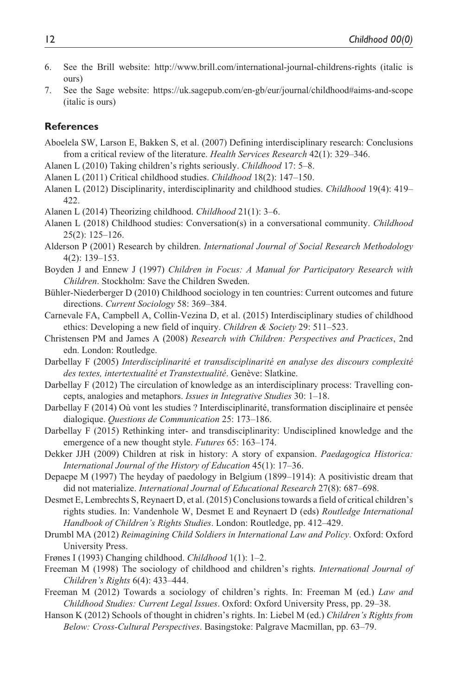- 6. See the Brill website: <http://www.brill.com/international-journal-childrens-rights>(italic is ours)
- 7. See the Sage website: <https://uk.sagepub.com/en-gb/eur/journal/childhood#aims-and-scope> (italic is ours)

#### **References**

- Aboelela SW, Larson E, Bakken S, et al. (2007) Defining interdisciplinary research: Conclusions from a critical review of the literature. *Health Services Research* 42(1): 329–346.
- Alanen L (2010) Taking children's rights seriously. *Childhood* 17: 5–8.
- Alanen L (2011) Critical childhood studies. *Childhood* 18(2): 147–150.
- Alanen L (2012) Disciplinarity, interdisciplinarity and childhood studies. *Childhood* 19(4): 419– 422.
- Alanen L (2014) Theorizing childhood. *Childhood* 21(1): 3–6.
- Alanen L (2018) Childhood studies: Conversation(s) in a conversational community. *Childhood* 25(2): 125–126.
- Alderson P (2001) Research by children. *International Journal of Social Research Methodology* 4(2): 139–153.
- Boyden J and Ennew J (1997) *Children in Focus: A Manual for Participatory Research with Children*. Stockholm: Save the Children Sweden.
- Bühler-Niederberger D (2010) Childhood sociology in ten countries: Current outcomes and future directions. *Current Sociology* 58: 369–384.
- Carnevale FA, Campbell A, Collin-Vezina D, et al. (2015) Interdisciplinary studies of childhood ethics: Developing a new field of inquiry. *Children & Society* 29: 511–523.
- Christensen PM and James A (2008) *Research with Children: Perspectives and Practices*, 2nd edn. London: Routledge.
- Darbellay F (2005) *Interdisciplinarité et transdisciplinarité en analyse des discours complexité des textes, intertextualité et Transtextualité*. Genève: Slatkine.
- Darbellay F (2012) The circulation of knowledge as an interdisciplinary process: Travelling concepts, analogies and metaphors. *Issues in Integrative Studies* 30: 1–18.
- Darbellay F (2014) Où vont les studies ? Interdisciplinarité, transformation disciplinaire et pensée dialogique. *Questions de Communication* 25: 173–186.
- Darbellay F (2015) Rethinking inter- and transdisciplinarity: Undisciplined knowledge and the emergence of a new thought style. *Futures* 65: 163–174.
- Dekker JJH (2009) Children at risk in history: A story of expansion. *Paedagogica Historica: International Journal of the History of Education* 45(1): 17–36.
- Depaepe M (1997) The heyday of paedology in Belgium (1899–1914): A positivistic dream that did not materialize. *International Journal of Educational Research* 27(8): 687–698.
- Desmet E, Lembrechts S, Reynaert D, et al. (2015) Conclusions towards a field of critical children's rights studies. In: Vandenhole W, Desmet E and Reynaert D (eds) *Routledge International Handbook of Children's Rights Studies*. London: Routledge, pp. 412–429.
- Drumbl MA (2012) *Reimagining Child Soldiers in International Law and Policy*. Oxford: Oxford University Press.
- Frønes I (1993) Changing childhood. *Childhood* 1(1): 1–2.
- Freeman M (1998) The sociology of childhood and children's rights. *International Journal of Children's Rights* 6(4): 433–444.
- Freeman M (2012) Towards a sociology of children's rights. In: Freeman M (ed.) *Law and Childhood Studies: Current Legal Issues*. Oxford: Oxford University Press, pp. 29–38.
- Hanson K (2012) Schools of thought in chidren's rights. In: Liebel M (ed.) *Children's Rights from Below: Cross-Cultural Perspectives*. Basingstoke: Palgrave Macmillan, pp. 63–79.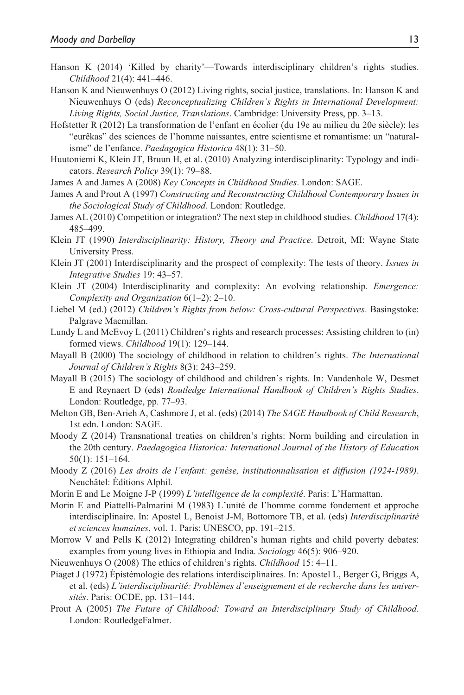- Hanson K (2014) 'Killed by charity'—Towards interdisciplinary children's rights studies. *Childhood* 21(4): 441–446.
- Hanson K and Nieuwenhuys O (2012) Living rights, social justice, translations. In: Hanson K and Nieuwenhuys O (eds) *Reconceptualizing Children's Rights in International Development: Living Rights, Social Justice, Translations*. Cambridge: University Press, pp. 3–13.
- Hofstetter R (2012) La transformation de l'enfant en écolier (du 19e au milieu du 20e siècle): les "eurêkas" des sciences de l'homme naissantes, entre scientisme et romantisme: un "naturalisme" de l'enfance. *Paedagogica Historica* 48(1): 31–50.
- Huutoniemi K, Klein JT, Bruun H, et al. (2010) Analyzing interdisciplinarity: Typology and indicators. *Research Policy* 39(1): 79–88.
- James A and James A (2008) *Key Concepts in Childhood Studies*. London: SAGE.
- James A and Prout A (1997) *Constructing and Reconstructing Childhood Contemporary Issues in the Sociological Study of Childhood*. London: Routledge.
- James AL (2010) Competition or integration? The next step in childhood studies. *Childhood* 17(4): 485–499.
- Klein JT (1990) *Interdisciplinarity: History, Theory and Practice*. Detroit, MI: Wayne State University Press.
- Klein JT (2001) Interdisciplinarity and the prospect of complexity: The tests of theory. *Issues in Integrative Studies* 19: 43–57.
- Klein JT (2004) Interdisciplinarity and complexity: An evolving relationship. *Emergence: Complexity and Organization* 6(1–2): 2–10.
- Liebel M (ed.) (2012) *Children's Rights from below: Cross-cultural Perspectives*. Basingstoke: Palgrave Macmillan.
- Lundy L and McEvoy L (2011) Children's rights and research processes: Assisting children to (in) formed views. *Childhood* 19(1): 129–144.
- Mayall B (2000) The sociology of childhood in relation to children's rights. *The International Journal of Children's Rights* 8(3): 243–259.
- Mayall B (2015) The sociology of childhood and children's rights. In: Vandenhole W, Desmet E and Reynaert D (eds) *Routledge International Handbook of Children's Rights Studies*. London: Routledge, pp. 77–93.
- Melton GB, Ben-Arieh A, Cashmore J, et al. (eds) (2014) *The SAGE Handbook of Child Research*, 1st edn. London: SAGE.
- Moody Z (2014) Transnational treaties on children's rights: Norm building and circulation in the 20th century. *Paedagogica Historica: International Journal of the History of Education* 50(1): 151–164.
- Moody Z (2016) *Les droits de l'enfant: genèse, institutionnalisation et diffusion (1924-1989)*. Neuchâtel: Éditions Alphil.
- Morin E and Le Moigne J-P (1999) *L'intelligence de la complexité*. Paris: L'Harmattan.
- Morin E and Piattelli-Palmarini M (1983) L'unité de l'homme comme fondement et approche interdisciplinaire. In: Apostel L, Benoist J-M, Bottomore TB, et al. (eds) *Interdisciplinarité et sciences humaines*, vol. 1. Paris: UNESCO, pp. 191–215.
- Morrow V and Pells K (2012) Integrating children's human rights and child poverty debates: examples from young lives in Ethiopia and India. *Sociology* 46(5): 906–920.
- Nieuwenhuys O (2008) The ethics of children's rights. *Childhood* 15: 4–11.
- Piaget J (1972) Épistémologie des relations interdisciplinaires. In: Apostel L, Berger G, Briggs A, et al. (eds) *L'interdisciplinarité: Problèmes d'enseignement et de recherche dans les universités*. Paris: OCDE, pp. 131–144.
- Prout A (2005) *The Future of Childhood: Toward an Interdisciplinary Study of Childhood*. London: RoutledgeFalmer.